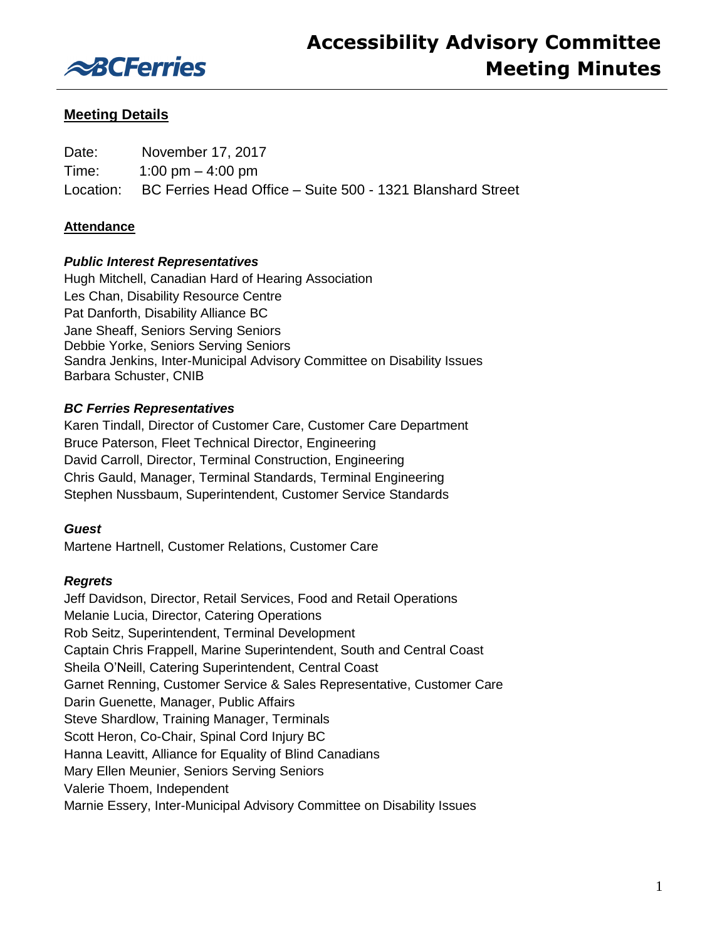

# **Meeting Details**

| Date: | November 17, 2017                                                    |
|-------|----------------------------------------------------------------------|
| Time: | 1:00 pm $-$ 4:00 pm                                                  |
|       | Location: BC Ferries Head Office - Suite 500 - 1321 Blanshard Street |

## **Attendance**

## *Public Interest Representatives*

Hugh Mitchell, Canadian Hard of Hearing Association Les Chan, Disability Resource Centre Pat Danforth, Disability Alliance BC Jane Sheaff, Seniors Serving Seniors Debbie Yorke, Seniors Serving Seniors Sandra Jenkins, Inter-Municipal Advisory Committee on Disability Issues Barbara Schuster, CNIB

## *BC Ferries Representatives*

Karen Tindall, Director of Customer Care, Customer Care Department Bruce Paterson, Fleet Technical Director, Engineering David Carroll, Director, Terminal Construction, Engineering Chris Gauld, Manager, Terminal Standards, Terminal Engineering Stephen Nussbaum, Superintendent, Customer Service Standards

## *Guest*

Martene Hartnell, Customer Relations, Customer Care

## *Regrets*

Jeff Davidson, Director, Retail Services, Food and Retail Operations Melanie Lucia, Director, Catering Operations Rob Seitz, Superintendent, Terminal Development Captain Chris Frappell, Marine Superintendent, South and Central Coast Sheila O'Neill, Catering Superintendent, Central Coast Garnet Renning, Customer Service & Sales Representative, Customer Care Darin Guenette, Manager, Public Affairs Steve Shardlow, Training Manager, Terminals Scott Heron, Co-Chair, Spinal Cord Injury BC Hanna Leavitt, Alliance for Equality of Blind Canadians Mary Ellen Meunier, Seniors Serving Seniors Valerie Thoem, Independent Marnie Essery, Inter-Municipal Advisory Committee on Disability Issues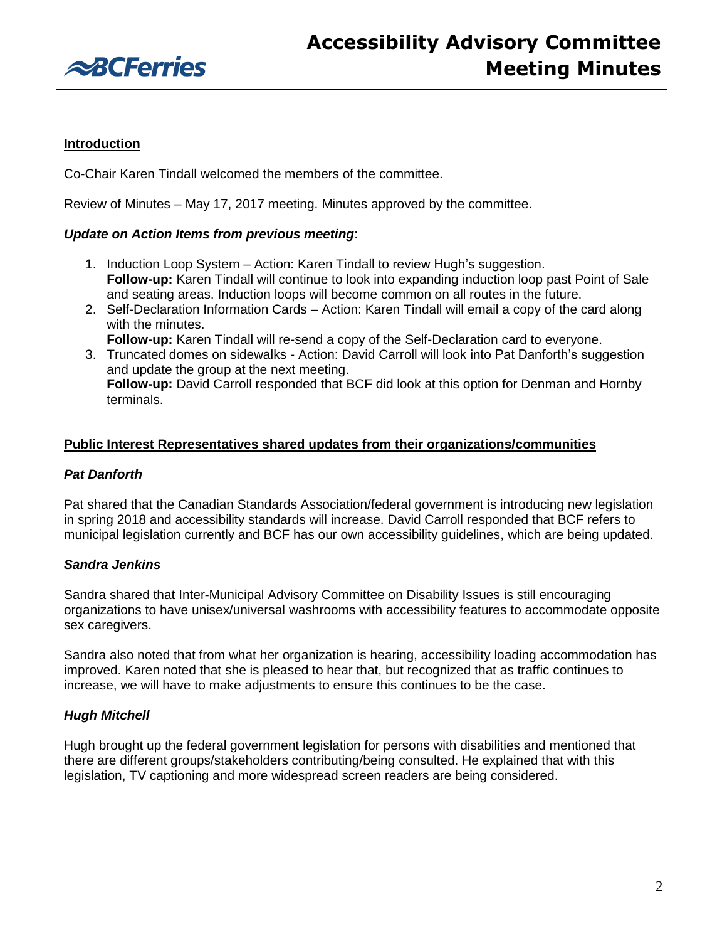

# **Introduction**

Co-Chair Karen Tindall welcomed the members of the committee.

Review of Minutes – May 17, 2017 meeting. Minutes approved by the committee.

## *Update on Action Items from previous meeting*:

- 1. Induction Loop System Action: Karen Tindall to review Hugh's suggestion. **Follow-up:** Karen Tindall will continue to look into expanding induction loop past Point of Sale and seating areas. Induction loops will become common on all routes in the future.
- 2. Self-Declaration Information Cards Action: Karen Tindall will email a copy of the card along with the minutes.
	- **Follow-up:** Karen Tindall will re-send a copy of the Self-Declaration card to everyone.
- 3. Truncated domes on sidewalks Action: David Carroll will look into Pat Danforth's suggestion and update the group at the next meeting. **Follow-up:** David Carroll responded that BCF did look at this option for Denman and Hornby terminals.

## **Public Interest Representatives shared updates from their organizations/communities**

## *Pat Danforth*

Pat shared that the Canadian Standards Association/federal government is introducing new legislation in spring 2018 and accessibility standards will increase. David Carroll responded that BCF refers to municipal legislation currently and BCF has our own accessibility guidelines, which are being updated.

## *Sandra Jenkins*

Sandra shared that Inter-Municipal Advisory Committee on Disability Issues is still encouraging organizations to have unisex/universal washrooms with accessibility features to accommodate opposite sex caregivers.

Sandra also noted that from what her organization is hearing, accessibility loading accommodation has improved. Karen noted that she is pleased to hear that, but recognized that as traffic continues to increase, we will have to make adjustments to ensure this continues to be the case.

## *Hugh Mitchell*

Hugh brought up the federal government legislation for persons with disabilities and mentioned that there are different groups/stakeholders contributing/being consulted. He explained that with this legislation, TV captioning and more widespread screen readers are being considered.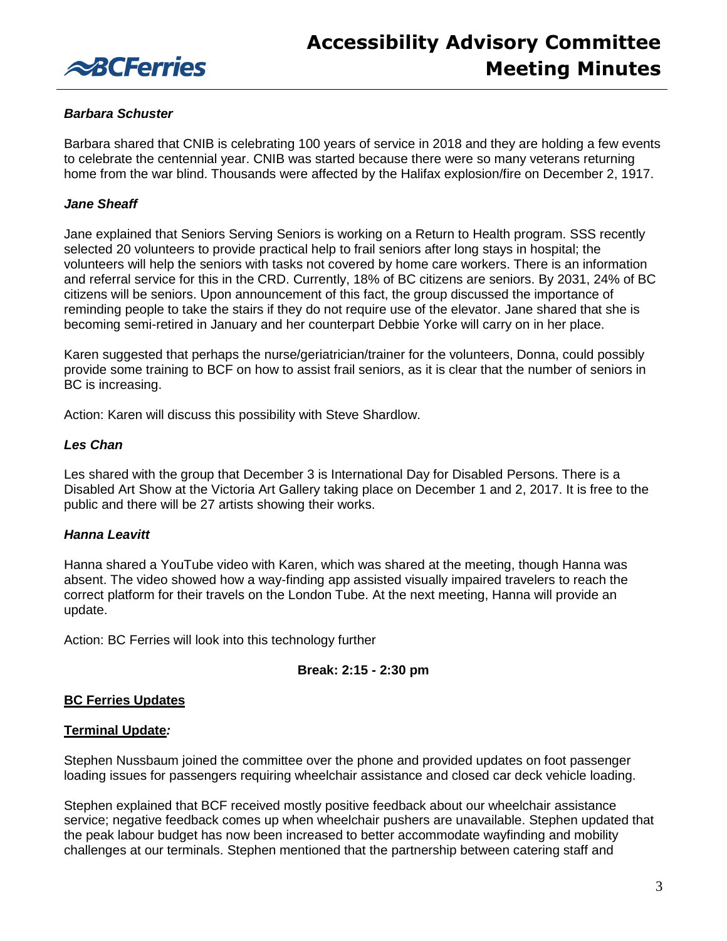

## *Barbara Schuster*

Barbara shared that CNIB is celebrating 100 years of service in 2018 and they are holding a few events to celebrate the centennial year. CNIB was started because there were so many veterans returning home from the war blind. Thousands were affected by the Halifax explosion/fire on December 2, 1917.

## *Jane Sheaff*

Jane explained that Seniors Serving Seniors is working on a Return to Health program. SSS recently selected 20 volunteers to provide practical help to frail seniors after long stays in hospital; the volunteers will help the seniors with tasks not covered by home care workers. There is an information and referral service for this in the CRD. Currently, 18% of BC citizens are seniors. By 2031, 24% of BC citizens will be seniors. Upon announcement of this fact, the group discussed the importance of reminding people to take the stairs if they do not require use of the elevator. Jane shared that she is becoming semi-retired in January and her counterpart Debbie Yorke will carry on in her place.

Karen suggested that perhaps the nurse/geriatrician/trainer for the volunteers, Donna, could possibly provide some training to BCF on how to assist frail seniors, as it is clear that the number of seniors in BC is increasing.

Action: Karen will discuss this possibility with Steve Shardlow.

## *Les Chan*

Les shared with the group that December 3 is International Day for Disabled Persons. There is a Disabled Art Show at the Victoria Art Gallery taking place on December 1 and 2, 2017. It is free to the public and there will be 27 artists showing their works.

## *Hanna Leavitt*

Hanna shared a YouTube video with Karen, which was shared at the meeting, though Hanna was absent. The video showed how a way-finding app assisted visually impaired travelers to reach the correct platform for their travels on the London Tube. At the next meeting, Hanna will provide an update.

Action: BC Ferries will look into this technology further

## **Break: 2:15 - 2:30 pm**

# **BC Ferries Updates**

## **Terminal Update***:*

Stephen Nussbaum joined the committee over the phone and provided updates on foot passenger loading issues for passengers requiring wheelchair assistance and closed car deck vehicle loading.

Stephen explained that BCF received mostly positive feedback about our wheelchair assistance service; negative feedback comes up when wheelchair pushers are unavailable. Stephen updated that the peak labour budget has now been increased to better accommodate wayfinding and mobility challenges at our terminals. Stephen mentioned that the partnership between catering staff and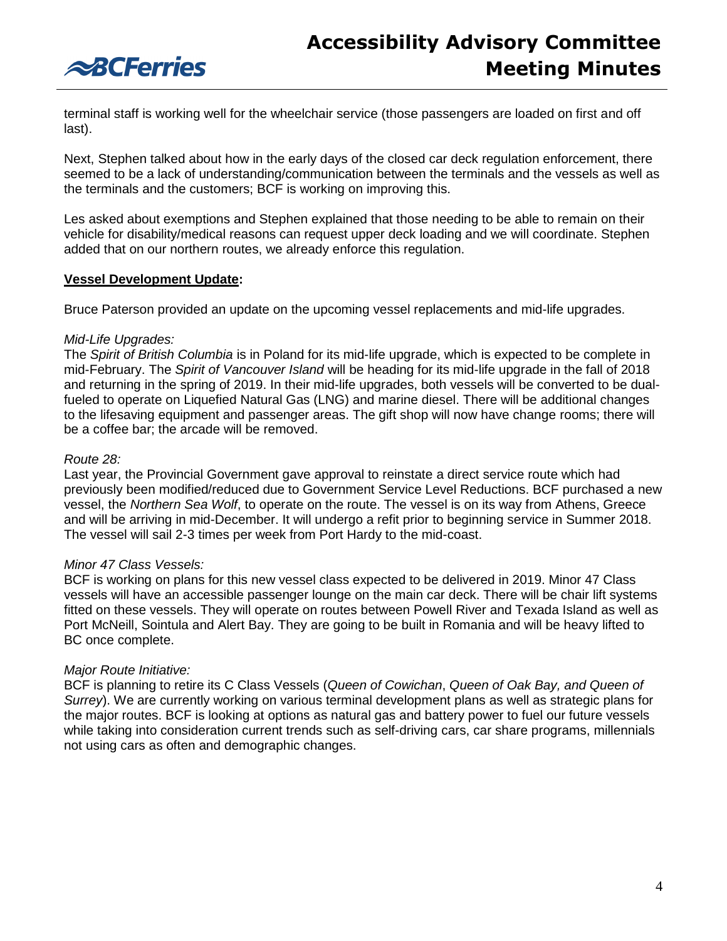

terminal staff is working well for the wheelchair service (those passengers are loaded on first and off last).

Next, Stephen talked about how in the early days of the closed car deck regulation enforcement, there seemed to be a lack of understanding/communication between the terminals and the vessels as well as the terminals and the customers; BCF is working on improving this.

Les asked about exemptions and Stephen explained that those needing to be able to remain on their vehicle for disability/medical reasons can request upper deck loading and we will coordinate. Stephen added that on our northern routes, we already enforce this regulation.

### **Vessel Development Update:**

Bruce Paterson provided an update on the upcoming vessel replacements and mid-life upgrades.

### *Mid-Life Upgrades:*

The *Spirit of British Columbia* is in Poland for its mid-life upgrade, which is expected to be complete in mid-February. The *Spirit of Vancouver Island* will be heading for its mid-life upgrade in the fall of 2018 and returning in the spring of 2019. In their mid-life upgrades, both vessels will be converted to be dualfueled to operate on Liquefied Natural Gas (LNG) and marine diesel. There will be additional changes to the lifesaving equipment and passenger areas. The gift shop will now have change rooms; there will be a coffee bar; the arcade will be removed.

### *Route 28:*

Last year, the Provincial Government gave approval to reinstate a direct service route which had previously been modified/reduced due to Government Service Level Reductions. BCF purchased a new vessel, the *Northern Sea Wolf*, to operate on the route. The vessel is on its way from Athens, Greece and will be arriving in mid-December. It will undergo a refit prior to beginning service in Summer 2018. The vessel will sail 2-3 times per week from Port Hardy to the mid-coast.

### *Minor 47 Class Vessels:*

BCF is working on plans for this new vessel class expected to be delivered in 2019. Minor 47 Class vessels will have an accessible passenger lounge on the main car deck. There will be chair lift systems fitted on these vessels. They will operate on routes between Powell River and Texada Island as well as Port McNeill, Sointula and Alert Bay. They are going to be built in Romania and will be heavy lifted to BC once complete.

### *Major Route Initiative:*

BCF is planning to retire its C Class Vessels (*Queen of Cowichan*, *Queen of Oak Bay, and Queen of Surrey*). We are currently working on various terminal development plans as well as strategic plans for the major routes. BCF is looking at options as natural gas and battery power to fuel our future vessels while taking into consideration current trends such as self-driving cars, car share programs, millennials not using cars as often and demographic changes.